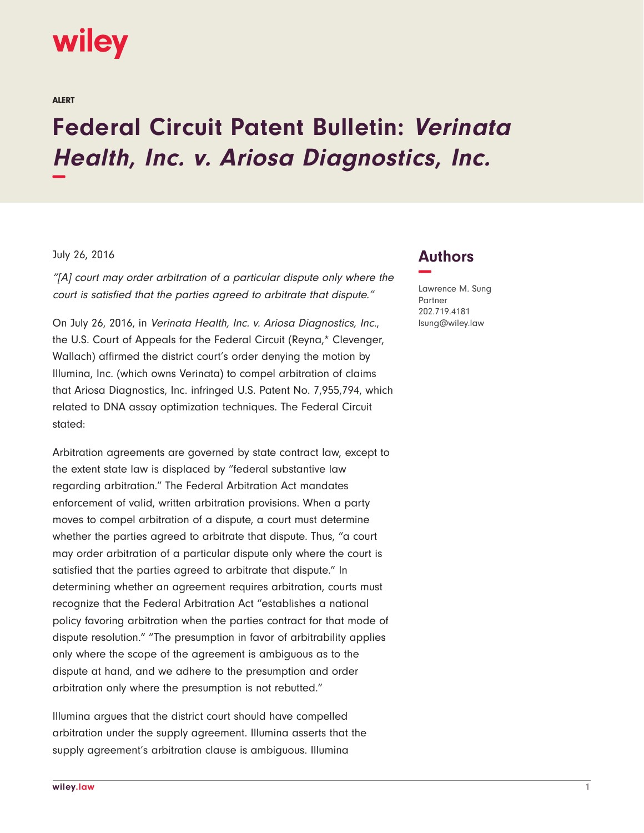## wiley

ALERT

## **Federal Circuit Patent Bulletin: Verinata Health, Inc. v. Ariosa Diagnostics, Inc. −**

## July 26, 2016

"[A] court may order arbitration of a particular dispute only where the court is satisfied that the parties agreed to arbitrate that dispute."

On July 26, 2016, in Verinata Health, Inc. v. Ariosa Diagnostics, Inc., the U.S. Court of Appeals for the Federal Circuit (Reyna,\* Clevenger, Wallach) affirmed the district court's order denying the motion by Illumina, Inc. (which owns Verinata) to compel arbitration of claims that Ariosa Diagnostics, Inc. infringed U.S. Patent No. 7,955,794, which related to DNA assay optimization techniques. The Federal Circuit stated:

Arbitration agreements are governed by state contract law, except to the extent state law is displaced by "federal substantive law regarding arbitration." The Federal Arbitration Act mandates enforcement of valid, written arbitration provisions. When a party moves to compel arbitration of a dispute, a court must determine whether the parties agreed to arbitrate that dispute. Thus, "a court may order arbitration of a particular dispute only where the court is satisfied that the parties agreed to arbitrate that dispute." In determining whether an agreement requires arbitration, courts must recognize that the Federal Arbitration Act "establishes a national policy favoring arbitration when the parties contract for that mode of dispute resolution." "The presumption in favor of arbitrability applies only where the scope of the agreement is ambiguous as to the dispute at hand, and we adhere to the presumption and order arbitration only where the presumption is not rebutted."

Illumina argues that the district court should have compelled arbitration under the supply agreement. Illumina asserts that the supply agreement's arbitration clause is ambiguous. Illumina

## **Authors −**

Lawrence M. Sung Partner 202.719.4181 lsung@wiley.law